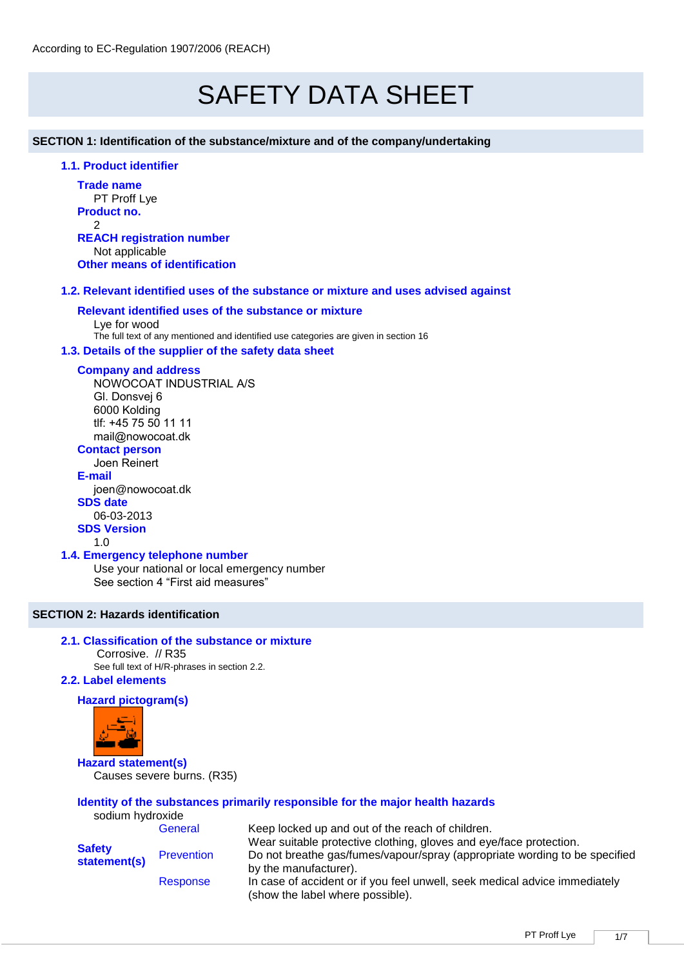# SAFETY DATA SHEET

**SECTION 1: Identification of the substance/mixture and of the company/undertaking** 

# **1.1. Product identifier**

**Trade name** PT Proff Lye **Product no.** 2 **REACH registration number** Not applicable

**Other means of identification**

# **1.2. Relevant identified uses of the substance or mixture and uses advised against**

# **Relevant identified uses of the substance or mixture**

Lye for wood The full text of any mentioned and identified use categories are given in section 16

# **1.3. Details of the supplier of the safety data sheet**

## **Company and address**

NOWOCOAT INDUSTRIAL A/S Gl. Donsvej 6 6000 Kolding tlf: +45 75 50 11 11 mail@nowocoat.dk

# **Contact person**

Joen Reinert **E-mail** joen@nowocoat.dk **SDS date** 

06-03-2013

## **SDS Version**

1.0

# **1.4. Emergency telephone number**

Use your national or local emergency number See section 4 "First aid measures"

# **SECTION 2: Hazards identification**

# **2.1. Classification of the substance or mixture**

Corrosive. // R35

See full text of H/R-phrases in section 2.2.

# **2.2. Label elements**

# **Hazard pictogram(s)**



**Hazard statement(s)** Causes severe burns. (R35)

#### **Identity of the substances primarily responsible for the major health hazards** sodium hydroxide

|                               | General                                                                                                                  | Keep locked up and out of the reach of children.                                                               |  |  |  |
|-------------------------------|--------------------------------------------------------------------------------------------------------------------------|----------------------------------------------------------------------------------------------------------------|--|--|--|
| <b>Safety</b><br>statement(s) |                                                                                                                          | Wear suitable protective clothing, gloves and eye/face protection.                                             |  |  |  |
|                               | Do not breathe gas/fumes/vapour/spray (appropriate wording to be specified<br><b>Prevention</b><br>by the manufacturer). |                                                                                                                |  |  |  |
|                               | Response                                                                                                                 | In case of accident or if you feel unwell, seek medical advice immediately<br>(show the label where possible). |  |  |  |
|                               |                                                                                                                          |                                                                                                                |  |  |  |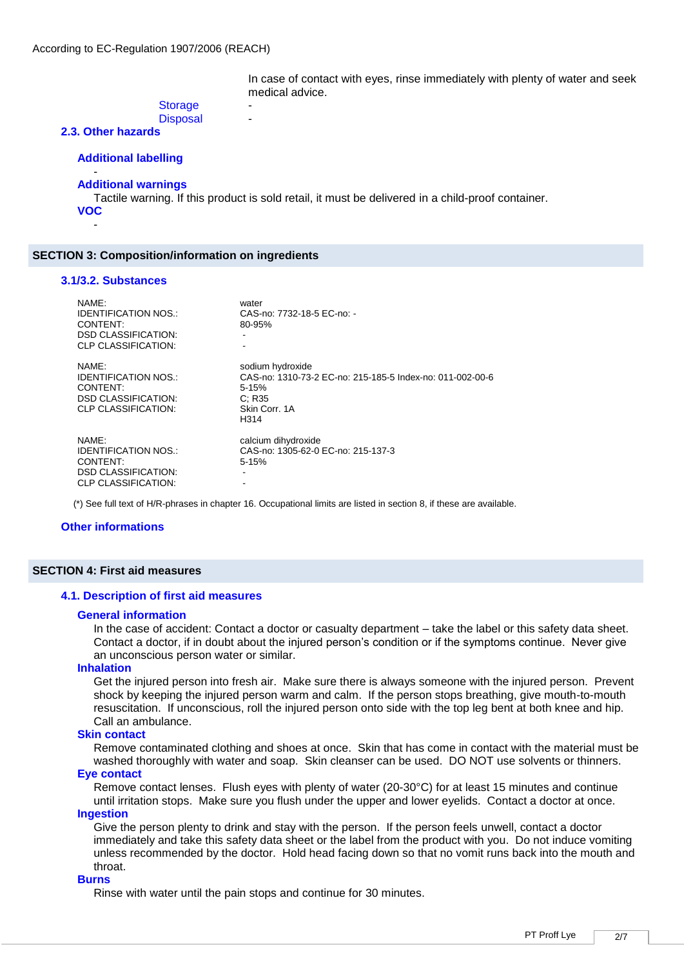In case of contact with eyes, rinse immediately with plenty of water and seek medical advice.

## **Storage Disposal**

# **2.3. Other hazards**

# **Additional labelling**

#### - **Additional warnings**

Tactile warning. If this product is sold retail, it must be delivered in a child-proof container. **VOC**

## **SECTION 3: Composition/information on ingredients**

#### **3.1/3.2. Substances**

-

| NAMF:<br><b>IDENTIFICATION NOS.:</b><br>CONTENT:<br><b>DSD CLASSIFICATION:</b><br><b>CLP CLASSIFICATION:</b> | water<br>CAS-no: 7732-18-5 EC-no: -<br>80-95%                                                                                 |
|--------------------------------------------------------------------------------------------------------------|-------------------------------------------------------------------------------------------------------------------------------|
| NAME:<br>IDENTIFICATION NOS.:<br>CONTENT:<br><b>DSD CLASSIFICATION:</b><br><b>CLP CLASSIFICATION:</b>        | sodium hydroxide<br>CAS-no: 1310-73-2 EC-no: 215-185-5 Index-no: 011-002-00-6<br>$5 - 15%$<br>C: R35<br>Skin Corr. 1A<br>H314 |
| NAMF:<br><b>IDENTIFICATION NOS.:</b><br>CONTENT:<br><b>DSD CLASSIFICATION:</b><br><b>CLP CLASSIFICATION:</b> | calcium dihydroxide<br>CAS-no: 1305-62-0 EC-no: 215-137-3<br>$5 - 15%$                                                        |

(\*) See full text of H/R-phrases in chapter 16. Occupational limits are listed in section 8, if these are available.

## **Other informations**

# **SECTION 4: First aid measures**

## **4.1. Description of first aid measures**

#### **General information**

In the case of accident: Contact a doctor or casualty department – take the label or this safety data sheet. Contact a doctor, if in doubt about the injured person's condition or if the symptoms continue. Never give an unconscious person water or similar.

# **Inhalation**

Get the injured person into fresh air. Make sure there is always someone with the injured person. Prevent shock by keeping the injured person warm and calm. If the person stops breathing, give mouth-to-mouth resuscitation. If unconscious, roll the injured person onto side with the top leg bent at both knee and hip. Call an ambulance.

## **Skin contact**

Remove contaminated clothing and shoes at once. Skin that has come in contact with the material must be washed thoroughly with water and soap. Skin cleanser can be used. DO NOT use solvents or thinners.

# **Eye contact**

Remove contact lenses. Flush eyes with plenty of water (20-30°C) for at least 15 minutes and continue until irritation stops. Make sure you flush under the upper and lower eyelids. Contact a doctor at once.

# **Ingestion**

Give the person plenty to drink and stay with the person. If the person feels unwell, contact a doctor immediately and take this safety data sheet or the label from the product with you. Do not induce vomiting unless recommended by the doctor. Hold head facing down so that no vomit runs back into the mouth and throat.

#### **Burns**

Rinse with water until the pain stops and continue for 30 minutes.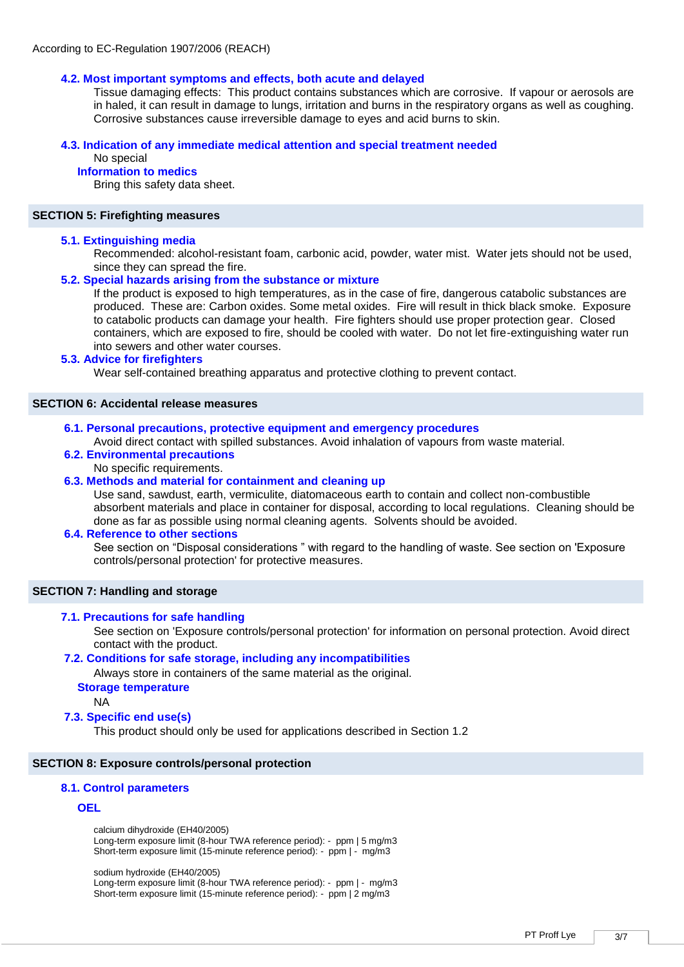# **4.2. Most important symptoms and effects, both acute and delayed**

Tissue damaging effects: This product contains substances which are corrosive. If vapour or aerosols are in haled, it can result in damage to lungs, irritation and burns in the respiratory organs as well as coughing. Corrosive substances cause irreversible damage to eyes and acid burns to skin.

## **4.3. Indication of any immediate medical attention and special treatment needed**

# No special

# **Information to medics**

Bring this safety data sheet.

## **SECTION 5: Firefighting measures**

## **5.1. Extinguishing media**

Recommended: alcohol-resistant foam, carbonic acid, powder, water mist. Water jets should not be used, since they can spread the fire.

## **5.2. Special hazards arising from the substance or mixture**

If the product is exposed to high temperatures, as in the case of fire, dangerous catabolic substances are produced. These are: Carbon oxides. Some metal oxides. Fire will result in thick black smoke. Exposure to catabolic products can damage your health. Fire fighters should use proper protection gear. Closed containers, which are exposed to fire, should be cooled with water. Do not let fire-extinguishing water run into sewers and other water courses.

# **5.3. Advice for firefighters**

Wear self-contained breathing apparatus and protective clothing to prevent contact.

# **SECTION 6: Accidental release measures**

**6.1. Personal precautions, protective equipment and emergency procedures** 

Avoid direct contact with spilled substances. Avoid inhalation of vapours from waste material.

# **6.2. Environmental precautions**

No specific requirements.

# **6.3. Methods and material for containment and cleaning up**

Use sand, sawdust, earth, vermiculite, diatomaceous earth to contain and collect non-combustible absorbent materials and place in container for disposal, according to local regulations. Cleaning should be done as far as possible using normal cleaning agents. Solvents should be avoided.

## **6.4. Reference to other sections**

See section on "Disposal considerations " with regard to the handling of waste. See section on 'Exposure controls/personal protection' for protective measures.

## **SECTION 7: Handling and storage**

## **7.1. Precautions for safe handling**

See section on 'Exposure controls/personal protection' for information on personal protection. Avoid direct contact with the product.

## **7.2. Conditions for safe storage, including any incompatibilities**

Always store in containers of the same material as the original.

#### **Storage temperature**

NA

## **7.3. Specific end use(s)**

This product should only be used for applications described in Section 1.2

# **SECTION 8: Exposure controls/personal protection**

# **8.1. Control parameters**

# **OEL**

calcium dihydroxide (EH40/2005) Long-term exposure limit (8-hour TWA reference period): - ppm | 5 mg/m3 Short-term exposure limit (15-minute reference period): - ppm | - mg/m3

sodium hydroxide (EH40/2005) Long-term exposure limit (8-hour TWA reference period): - ppm | - mg/m3 Short-term exposure limit (15-minute reference period): - ppm | 2 mg/m3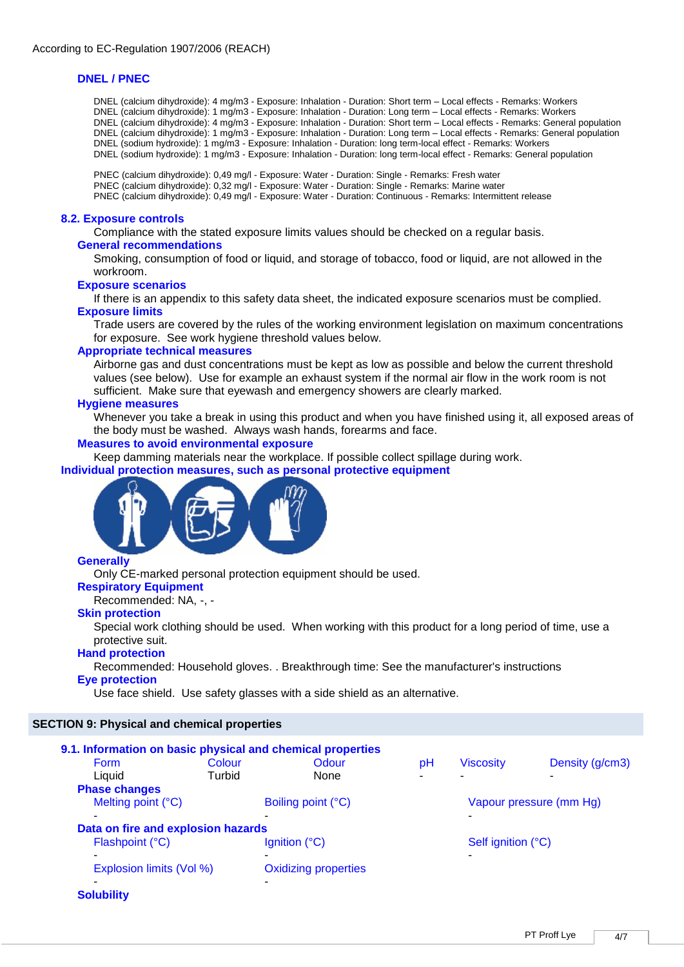# **DNEL / PNEC**

DNEL (calcium dihydroxide): 4 mg/m3 - Exposure: Inhalation - Duration: Short term – Local effects - Remarks: Workers DNEL (calcium dihydroxide): 1 mg/m3 - Exposure: Inhalation - Duration: Long term – Local effects - Remarks: Workers DNEL (calcium dihydroxide): 4 mg/m3 - Exposure: Inhalation - Duration: Short term – Local effects - Remarks: General population DNEL (calcium dihydroxide): 1 mg/m3 - Exposure: Inhalation - Duration: Long term – Local effects - Remarks: General population DNEL (sodium hydroxide): 1 mg/m3 - Exposure: Inhalation - Duration: long term-local effect - Remarks: Workers DNEL (sodium hydroxide): 1 mg/m3 - Exposure: Inhalation - Duration: long term-local effect - Remarks: General population

PNEC (calcium dihydroxide): 0,49 mg/l - Exposure: Water - Duration: Single - Remarks: Fresh water PNEC (calcium dihydroxide): 0,32 mg/l - Exposure: Water - Duration: Single - Remarks: Marine water PNEC (calcium dihydroxide): 0,49 mg/l - Exposure: Water - Duration: Continuous - Remarks: Intermittent release

# **8.2. Exposure controls**

Compliance with the stated exposure limits values should be checked on a regular basis.

# **General recommendations**

Smoking, consumption of food or liquid, and storage of tobacco, food or liquid, are not allowed in the workroom.

# **Exposure scenarios**

If there is an appendix to this safety data sheet, the indicated exposure scenarios must be complied. **Exposure limits**

Trade users are covered by the rules of the working environment legislation on maximum concentrations for exposure. See work hygiene threshold values below.

## **Appropriate technical measures**

Airborne gas and dust concentrations must be kept as low as possible and below the current threshold values (see below). Use for example an exhaust system if the normal air flow in the work room is not sufficient. Make sure that eyewash and emergency showers are clearly marked.

## **Hygiene measures**

Whenever you take a break in using this product and when you have finished using it, all exposed areas of the body must be washed. Always wash hands, forearms and face.

# **Measures to avoid environmental exposure**

Keep damming materials near the workplace. If possible collect spillage during work.

# **Individual protection measures, such as personal protective equipment**



# **Generally**

Only CE-marked personal protection equipment should be used.

# **Respiratory Equipment**

Recommended: NA, -, -

# **Skin protection**

Special work clothing should be used. When working with this product for a long period of time, use a protective suit.

# **Hand protection**

Recommended: Household gloves. . Breakthrough time: See the manufacturer's instructions

# **Eye protection**

Use face shield. Use safety glasses with a side shield as an alternative.

# **SECTION 9: Physical and chemical properties**

| 9.1. Information on basic physical and chemical properties |        |                             |    |                         |                 |  |
|------------------------------------------------------------|--------|-----------------------------|----|-------------------------|-----------------|--|
| <b>Form</b>                                                | Colour | Odour                       | pH | <b>Viscosity</b>        | Density (g/cm3) |  |
| Liquid                                                     | Turbid | None                        |    |                         |                 |  |
| <b>Phase changes</b>                                       |        |                             |    |                         |                 |  |
| Melting point (°C)                                         |        | Boiling point (°C)          |    | Vapour pressure (mm Hg) |                 |  |
|                                                            |        |                             |    |                         |                 |  |
| Data on fire and explosion hazards                         |        |                             |    |                         |                 |  |
| Flashpoint (°C)                                            |        | Ignition (°C)               |    | Self ignition (°C)      |                 |  |
| $\tilde{\phantom{a}}$                                      |        |                             |    |                         |                 |  |
| Explosion limits (Vol %)                                   |        | <b>Oxidizing properties</b> |    |                         |                 |  |
|                                                            |        |                             |    |                         |                 |  |
| <b>Solubility</b>                                          |        |                             |    |                         |                 |  |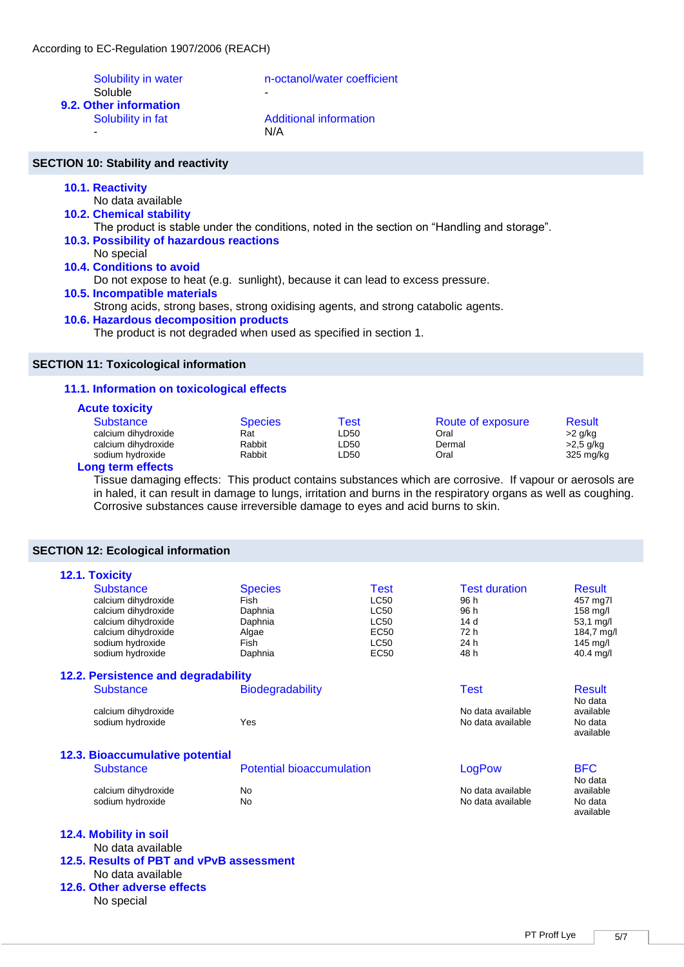Soluble

Solubility in water n-octanol/water coefficient

**9.2. Other information** 

Solubility in fat Additional information - N/A

# **SECTION 10: Stability and reactivity**

# **10.1. Reactivity**

- No data available
- **10.2. Chemical stability** 
	- The product is stable under the conditions, noted in the section on "Handling and storage".
- **10.3. Possibility of hazardous reactions**
- No special **10.4. Conditions to avoid** 
	- Do not expose to heat (e.g. sunlight), because it can lead to excess pressure.

# **10.5. Incompatible materials**

Strong acids, strong bases, strong oxidising agents, and strong catabolic agents.

# **10.6. Hazardous decomposition products**

The product is not degraded when used as specified in section 1.

# **SECTION 11: Toxicological information**

# **11.1. Information on toxicological effects**

# **Acute toxicity**

| <u>.</u>            |                |      |                   |                     |
|---------------------|----------------|------|-------------------|---------------------|
| <b>Substance</b>    | <b>Species</b> | Test | Route of exposure | Result              |
| calcium dihydroxide | Rat            | LD50 | Oral              | >2 g/kg             |
| calcium dihydroxide | Rabbit         | LD50 | Dermal            | >2,5 g/kg           |
| sodium hydroxide    | Rabbit         | LD50 | Oral              | $325 \text{ mg/kg}$ |
|                     |                |      |                   |                     |

# **Long term effects**

Tissue damaging effects: This product contains substances which are corrosive. If vapour or aerosols are in haled, it can result in damage to lungs, irritation and burns in the respiratory organs as well as coughing. Corrosive substances cause irreversible damage to eyes and acid burns to skin.

# **SECTION 12: Ecological information**

No special

| 12.1. Toxicity                           |                                  |             |                      |                          |  |
|------------------------------------------|----------------------------------|-------------|----------------------|--------------------------|--|
| <b>Substance</b>                         | <b>Species</b>                   | <b>Test</b> | <b>Test duration</b> | Result                   |  |
| calcium dihydroxide                      | <b>LC50</b><br>Fish              |             | 96 h                 | 457 mg7l                 |  |
| calcium dihydroxide                      | Daphnia                          | <b>LC50</b> | 96 h                 | 158 mg/l                 |  |
| calcium dihydroxide                      | Daphnia                          | <b>LC50</b> | 14 <sub>d</sub>      | 53,1 mg/l                |  |
| calcium dihydroxide                      | Algae                            | <b>EC50</b> | 72 h                 | 184,7 mg/l               |  |
| sodium hydroxide                         | Fish                             | <b>LC50</b> | 24 h                 | $145$ mg/l               |  |
| sodium hydroxide                         | <b>EC50</b><br>Daphnia           |             | 48 h                 | 40.4 mg/l                |  |
| 12.2. Persistence and degradability      |                                  |             |                      |                          |  |
| <b>Substance</b>                         | <b>Biodegradability</b>          |             | <b>Test</b>          | <b>Result</b><br>No data |  |
| calcium dihydroxide                      |                                  |             | No data available    | available                |  |
| sodium hydroxide                         | Yes                              |             | No data available    | No data<br>available     |  |
| <b>12.3. Bioaccumulative potential</b>   |                                  |             |                      |                          |  |
| <b>Substance</b>                         | <b>Potential bioaccumulation</b> |             | LogPow               | <b>BFC</b>               |  |
|                                          |                                  |             |                      | No data                  |  |
| calcium dihydroxide                      | No.                              |             | No data available    | available                |  |
| sodium hydroxide                         | N <sub>0</sub>                   |             | No data available    | No data                  |  |
|                                          |                                  |             |                      | available                |  |
| 12.4. Mobility in soil                   |                                  |             |                      |                          |  |
| No data available                        |                                  |             |                      |                          |  |
| 12.5. Results of PBT and vPvB assessment |                                  |             |                      |                          |  |
| No data available                        |                                  |             |                      |                          |  |
| 12.6. Other adverse effects              |                                  |             |                      |                          |  |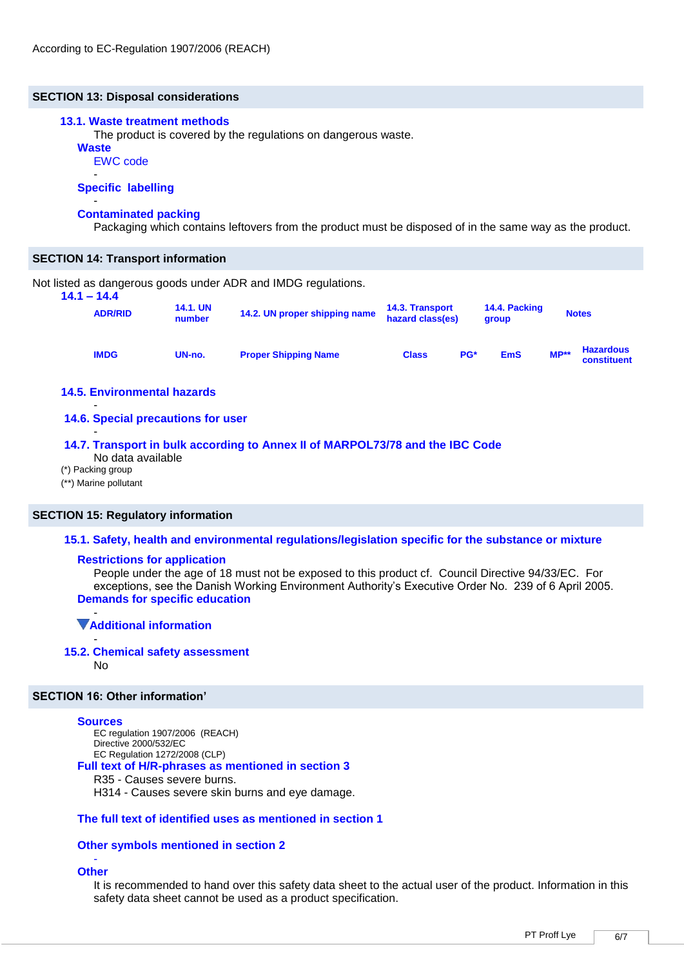# **SECTION 13: Disposal considerations**

## **13.1. Waste treatment methods**

The product is covered by the regulations on dangerous waste.

**Waste**

EWC code -

## **Specific labelling**

#### - **Contaminated packing**

Packaging which contains leftovers from the product must be disposed of in the same way as the product.

## **SECTION 14: Transport information**

Not listed as dangerous goods under ADR and IMDG regulations. **14.1 – 14.4**

| 14.1 – 14.4<br><b>14.1. UN</b><br><b>ADR/RID</b><br>number |        | 14.2. UN proper shipping name | <b>14.3. Transport</b><br>hazard class(es) |     | 14.4. Packing<br>group | <b>Notes</b> |                                 |
|------------------------------------------------------------|--------|-------------------------------|--------------------------------------------|-----|------------------------|--------------|---------------------------------|
| <b>IMDG</b>                                                | UN-no. | <b>Proper Shipping Name</b>   | <b>Class</b>                               | PG* | <b>EmS</b>             | $MP**$       | <b>Hazardous</b><br>constituent |

# **14.5. Environmental hazards**

#### - **14.6. Special precautions for user**

## **14.7. Transport in bulk according to Annex II of MARPOL73/78 and the IBC Code**

No data available

(\*) Packing group

-

(\*\*) Marine pollutant

# **SECTION 15: Regulatory information**

## **15.1. Safety, health and environmental regulations/legislation specific for the substance or mixture**

## **Restrictions for application**

People under the age of 18 must not be exposed to this product cf. Council Directive 94/33/EC. For exceptions, see the Danish Working Environment Authority's Executive Order No. 239 of 6 April 2005. **Demands for specific education**

#### - **Additional information**

# - **15.2. Chemical safety assessment**

No

# **SECTION 16: Other information'**

# **Sources**

EC regulation 1907/2006 (REACH) Directive 2000/532/EC EC Regulation 1272/2008 (CLP) **Full text of H/R-phrases as mentioned in section 3** R35 - Causes severe burns. H314 - Causes severe skin burns and eye damage.

# **The full text of identified uses as mentioned in section 1**

# **Other symbols mentioned in section 2**

#### - **Other**

It is recommended to hand over this safety data sheet to the actual user of the product. Information in this safety data sheet cannot be used as a product specification.